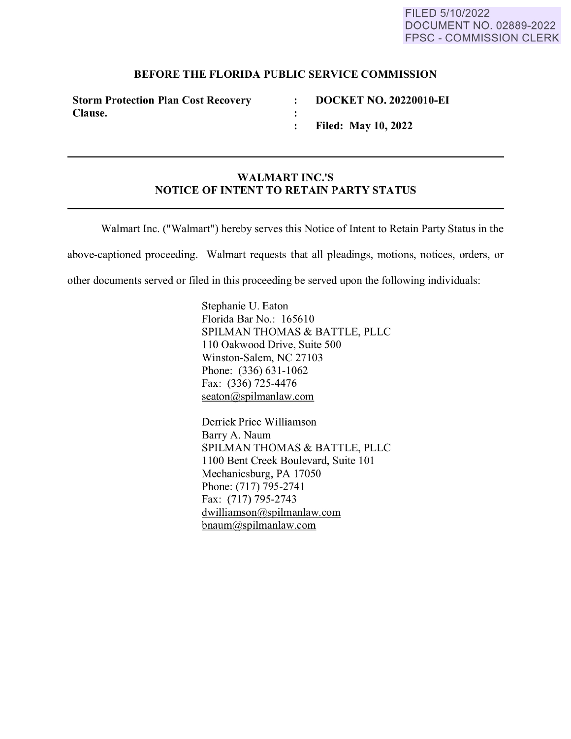## **BEFORE THE FLORIDA PUBLIC SERVICE COMMISSION**

 $\ddot{\cdot}$ :  $\ddot{\cdot}$ 

**Storm Protection Plan Cost Recovery Clause.** 

**DOCKET NO. 20220010-EI** 

**Filed: May 10, 2022** 

## **WALMART INC.'S NOTICE OF INTENT TO RETAIN PARTY STATUS**

Walmart Inc. ("Walmart") hereby serves this Notice of Intent to Retain Party Status in the

above-captioned proceeding. Walmart requests that all pleadings, motions, notices, orders, or

other documents served or filed in this proceeding be served upon the following individuals:

Stephanie U. Eaton Florida Bar No.: 165610 SPILMAN THOMAS & BATTLE, PLLC 110 Oakwood Drive, Suite 500 Winston-Salem, NC 27103 Phone: (336) 631-1062 Fax: (336) 725-4476 seaton@spilmanlaw.com

Derrick Price Williamson Barry A. Naum SPILMAN THOMAS & BATTLE, PLLC 1100 Bent Creek Boulevard, Suite 101 Mechanicsburg, PA 17050 Phone: (717) 795-2741 Fax: (717) 795-2743 dwilliamson@spilmanlaw.com bnaum@spilmanlaw.com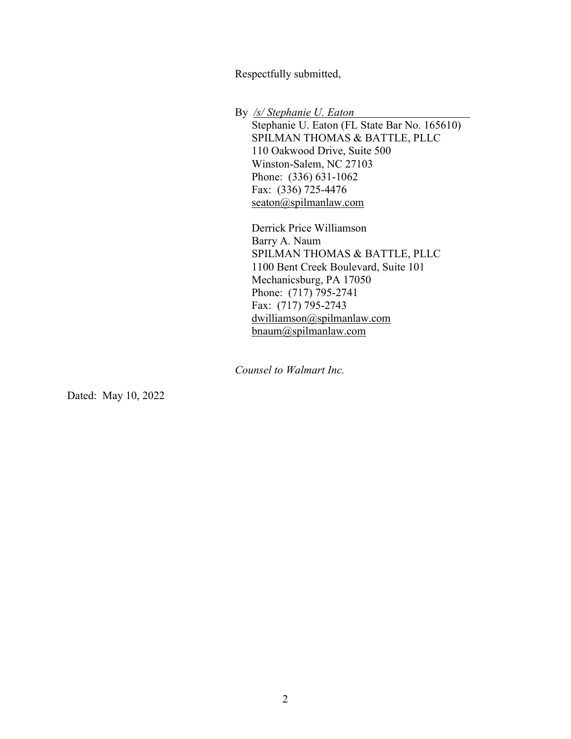Respectfully submitted, Respectfully submitted,

By /s/ Stephanie U. Eaton

Stephanie U. Eaton (FL State Bar No. 165610) Stephanie U. Eaton (FL State Bar No. 165610) SPILMAN THOMAS & BATTLE, PLLC SPILMAN THOMAS & BATTLE, PLLC 110 Oakwood Drive, Suite 500 110 Oakwood Drive, Suite 500 Winston-Salem, NC 27103 Winston-Salem, NC 27103 Phone: (336) 631-1062 Phone: (336) 631-1062 Fax: (336) 725-4476 Fax: (336) 725-4476 seaton@spilmanlaw.com seaton@spilmanlaw.com

Derrick Price Williamson Derrick Price Williamson Barry A. Naum Barry A. Naum SPILMAN THOMAS & BATTLE, PLLC SPILMAN THOMAS & BATTLE, PLLC 1100 Bent Creek Boulevard, Suite 101 1100 Bent Creek Boulevard, Suite 101 Mechanicsburg, PA 17050 Mechanicsburg, PA 17050 Phone: (717) 795-2741 Phone: (717) 795-2741 Fax: (717) 795-2743 Fax: (717) 795-2743 dwilliamson@spilmanlaw.com dwilliamson@spilmanlaw.com bnaum@spilmanlaw.com bnaum@spilmanlaw.com

Counsel to Walmart Inc. Counsel to Walmart Inc.

Dated: May 10, 2022 Dated: May 10, 2022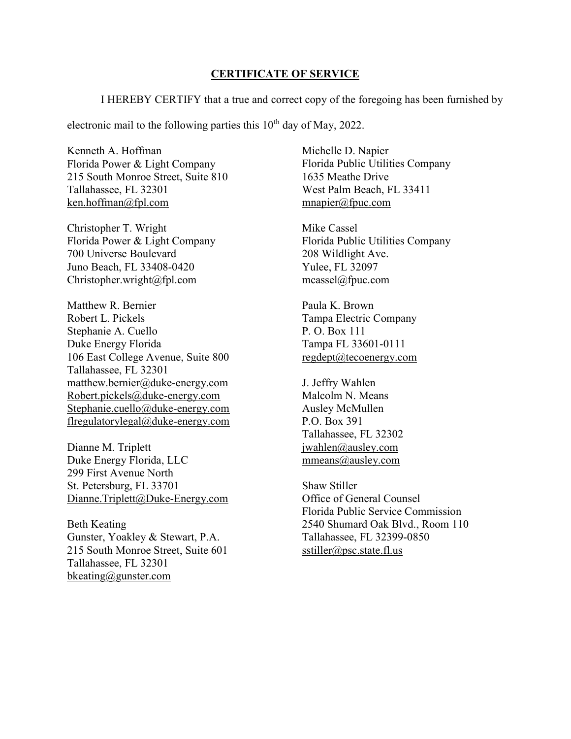## CERTIFICATE OF SERVICE CERTIFICATE OF SERVICE

I HEREBY CERTIFY that a true and correct copy of the foregoing has been furnished by<br>electronic mail to the following parties this  $10^{th}$  day of May, 2022.

electronic mail to the following parties this  $10<sup>th</sup>$  day of May, 2022.

Kenneth A. Hoffman Kenneth A. Hoffman Florida Power & Light Company Florida Power & Light Company 215 South Monroe Street, Suite 810 215 South Monroe Street, Suite 810 Tallahassee, FL 32301 Tallahassee, FL 32301 ken.hoffman@fpl.com ken.hoffman@fpl.com

Christopher T. Wright Christopher T. Wright Florida Power & Light Company Florida Power & Light Company 700 Universe Boulevard 700 Universe Boulevard Juno Beach, FL 33408-0420 Juno Beach, FL 33408-0420 Christopher.wright@fpl.com Christopher.wright@fpl.com

Matthew R. Bernier Matthew R. Bernier Robert L. Pickels Robert L. Pickels Stephanie A. Cuello Stephanie A. Cuello Duke Energy Florida Duke Energy Florida 106 East College Avenue, Suite 800 106 East College Avenue, Suite 800 Tallahassee, FL 32301 Tallahassee, FL 32301 matthew.bernier@duke-energy.com matthew.bernier@duke-energy.com Robert.pickels@duke-energy.com Robert.pickels@duke-energy.com Stephanie.cuello@duke-energy.com Stephanie.cuello@duke-energy.com flregulatorylegal@duke-energy.com flregulatorylegal@duke-energy.com

Dianne M. Triplett Dianne M. Triplett Duke Energy Florida, LLC Duke Energy Florida, LLC 299 First Avenue North 299 First Avenue North St. Petersburg, FL 33701 St. Petersburg, FL 33701 Dianne.Triplett@Duke-Energy.com Dianne.Triplett@Duke-Energy.com

Beth Keating Beth Keating Gunster, Yoakley & Stewart, P.A. Gunster, Yoakley & Stewart, P.A. 215 South Monroe Street, Suite 601 215 South Monroe Street, Suite 601 Tallahassee, FL 32301 Tallahassee, FL 32301 bkeating@gunster.com bkeating@gunster.com

Michelle D. Napier Michelle D. Napier Florida Public Utilities Company Florida Public Utilities Company 1635 Meathe Drive 1635 Meathe Drive West Palm Beach, FL 33411 West Palm Beach, FL 33411 <u>mnapier@fpuc.com</u><br>Mike Cassel

Mike Cassel Florida Public Utilities Company Florida Public Utilities Company 208 Wildlight Ave. 208 Wildlight Ave. Yulee, FL 32097 Yulee, FL 32097 mcassel@fpuc.com<br>Paula K. Brown

Paula K. Brown Tampa Electric Company Tampa Electric Company P. O. Box 111 P. O. Box 111 Tampa FL 33601-0111 Tampa FL 33601-0111 regdept@tecoenergy.com regdept@tecoenergy.com

J. Jeffry Wahlen J. Jeffry Wahlen Malcolm N. Means Malcolm N. Means Ausley McMullen Ausley McMullen P.O. Box 391 P.O. Box 391 Tallahassee, FL 32302 Tallahassee, FL 32302 jwahlen@ausley.com jwahlen@ausley.com mmeans@ausley.com mmeans@ausley.com

Shaw Stiller Shaw Stiller Office of General Counsel Office of General Counsel Florida Public Service Commission Florida Public Service Commission 2540 Shumard Oak Blvd., Room 110 2540 Shumard Oak Blvd., Room 110 Tallahassee, FL 32399-0850 Tallahassee, FL 32399-0850 sstiller@psc.state.fl.us